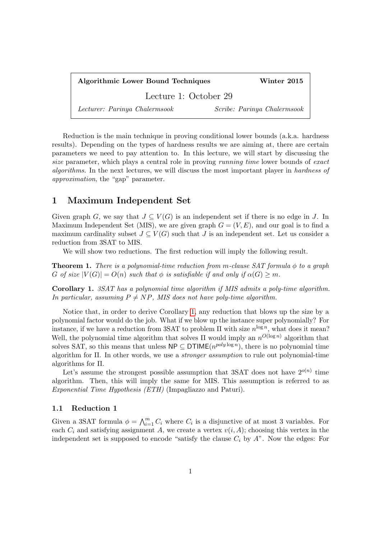Algorithmic Lower Bound Techniques Winter 2015 Lecture 1: October 29 Lecturer: Parinya Chalermsook Scribe: Parinya Chalermsook

Reduction is the main technique in proving conditional lower bounds (a.k.a. hardness results). Depending on the types of hardness results we are aiming at, there are certain parameters we need to pay attention to. In this lecture, we will start by discussing the size parameter, which plays a central role in proving *running time* lower bounds of exact algorithms. In the next lectures, we will discuss the most important player in hardness of approximation, the "gap" parameter.

## 1 Maximum Independent Set

Given graph G, we say that  $J \subseteq V(G)$  is an independent set if there is no edge in J. In Maximum Independent Set (MIS), we are given graph  $G = (V, E)$ , and our goal is to find a maximum cardinality subset  $J \subseteq V(G)$  such that J is an independent set. Let us consider a reduction from 3SAT to MIS.

We will show two reductions. The first reduction will imply the following result.

**Theorem 1.** There is a polynomial-time reduction from m-clause SAT formula  $\phi$  to a graph G of size  $|V(G)| = O(n)$  such that  $\phi$  is satisfiable if and only if  $\alpha(G) \geq m$ .

<span id="page-0-0"></span>Corollary 1. 3SAT has a polynomial time algorithm if MIS admits a poly-time algorithm. In particular, assuming  $P \neq NP$ , MIS does not have poly-time algorithm.

Notice that, in order to derive Corollary [1,](#page-0-0) any reduction that blows up the size by a polynomial factor would do the job. What if we blow up the instance super polynomially? For instance, if we have a reduction from 3SAT to problem  $\Pi$  with size  $n^{\log n}$ , what does it mean? Well, the polynomial time algorithm that solves  $\Pi$  would imply an  $n^{O(\log n)}$  algorithm that solves SAT, so this means that unless  $\mathsf{NP} \subseteq \mathsf{DTIME}(n^{poly \log n})$ , there is no polynomial time algorithm for Π. In other words, we use a stronger assumption to rule out polynomial-time algorithms for Π.

Let's assume the strongest possible assumption that 3SAT does not have  $2^{o(n)}$  time algorithm. Then, this will imply the same for MIS. This assumption is referred to as Exponential Time Hypothesis (ETH) (Impagliazzo and Paturi).

## 1.1 Reduction 1

Given a 3SAT formula  $\phi = \bigwedge_{i=1}^{m} C_i$  where  $C_i$  is a disjunctive of at most 3 variables. For each  $C_i$  and satisfying assignment A, we create a vertex  $v(i, A)$ ; choosing this vertex in the independent set is supposed to encode "satisfy the clause  $C_i$  by  $A$ ". Now the edges: For